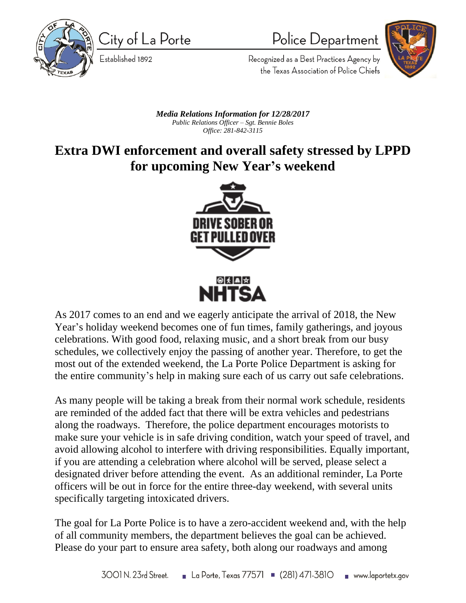

City of La Porte

Established 1892

Police Department



Recognized as a Best Practices Agency by the Texas Association of Police Chiefs

## *Media Relations Information for 12/28/2017 Public Relations Officer – Sgt. Bennie Boles Office: 281-842-3115*

## **Extra DWI enforcement and overall safety stressed by LPPD for upcoming New Year's weekend**



As 2017 comes to an end and we eagerly anticipate the arrival of 2018, the New Year's holiday weekend becomes one of fun times, family gatherings, and joyous celebrations. With good food, relaxing music, and a short break from our busy schedules, we collectively enjoy the passing of another year. Therefore, to get the most out of the extended weekend, the La Porte Police Department is asking for the entire community's help in making sure each of us carry out safe celebrations.

As many people will be taking a break from their normal work schedule, residents are reminded of the added fact that there will be extra vehicles and pedestrians along the roadways. Therefore, the police department encourages motorists to make sure your vehicle is in safe driving condition, watch your speed of travel, and avoid allowing alcohol to interfere with driving responsibilities. Equally important, if you are attending a celebration where alcohol will be served, please select a designated driver before attending the event. As an additional reminder, La Porte officers will be out in force for the entire three-day weekend, with several units specifically targeting intoxicated drivers.

The goal for La Porte Police is to have a zero-accident weekend and, with the help of all community members, the department believes the goal can be achieved. Please do your part to ensure area safety, both along our roadways and among